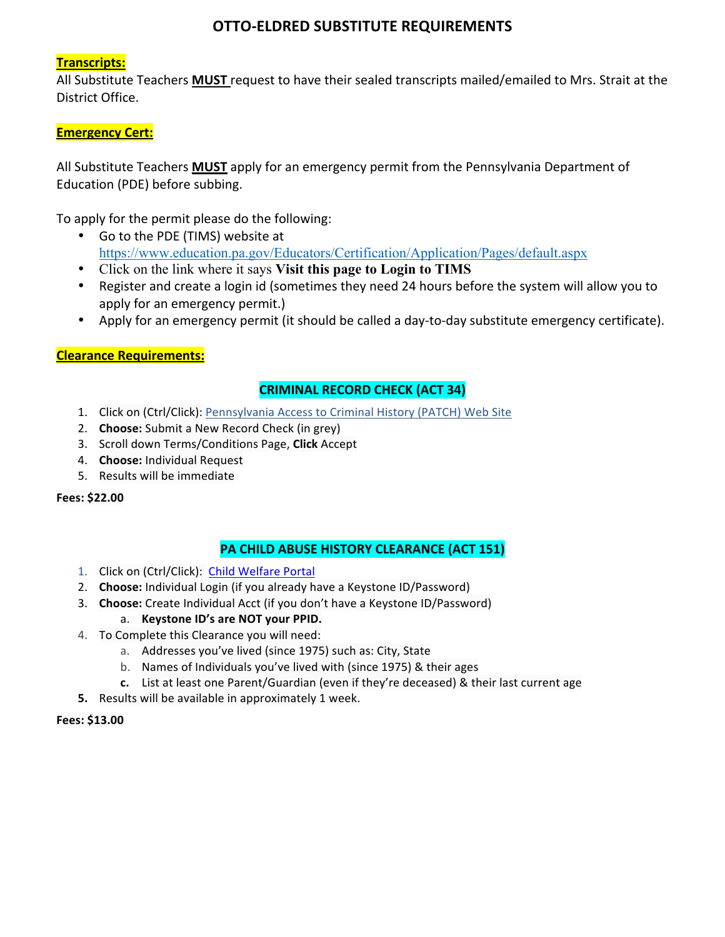# **OTTO-ELDRED SUBSTITUTE REQUIREMENTS**

# **Transcripts:**

All Substitute Teachers **MUST** request to have their sealed transcripts mailed/emailed to Mrs. Strait at the District Office.

# **Emergency Cert:**

All Substitute Teachers **MUST** apply for an emergency permit from the Pennsylvania Department of Education (PDE) before subbing.

To apply for the permit please do the following:

- Go to the PDE (TIMS) website at https://www.education.pa.gov/Educators/Certification/Application/Pages/default.aspx
- Click on the link where it says **Visit this page to Login to TIMS**
- Register and create a login id (sometimes they need 24 hours before the system will allow you to apply for an emergency permit.)
- Apply for an emergency permit (it should be called a day-to-day substitute emergency certificate).

# **Clearance Requirements:**

# **CRIMINAL RECORD CHECK (ACT 34)**

- 1. Click on (Ctrl/Click): Pennsylvania Access to Criminal History (PATCH) Web Site
- 2. **Choose:** Submit a New Record Check (in grey)
- 3. Scroll down Terms/Conditions Page, **Click** Accept
- 4. **Choose:** Individual Request
- 5. Results will be immediate

#### **Fees: \$22.00**

# **PA CHILD ABUSE HISTORY CLEARANCE (ACT 151)**

- 1. Click on (Ctrl/Click): Child Welfare Portal
- 2. **Choose:** Individual Login (if you already have a Keystone ID/Password)
- 3. **Choose:** Create Individual Acct (if you don't have a Keystone ID/Password)
	- a. **Keystone ID's are NOT your PPID.**
- 4. To Complete this Clearance you will need:
	- a. Addresses you've lived (since 1975) such as: City, State
	- b. Names of Individuals you've lived with (since 1975) & their ages
	- **c.** List at least one Parent/Guardian (even if they're deceased) & their last current age
- **5.** Results will be available in approximately 1 week.

#### **Fees: \$13.00**